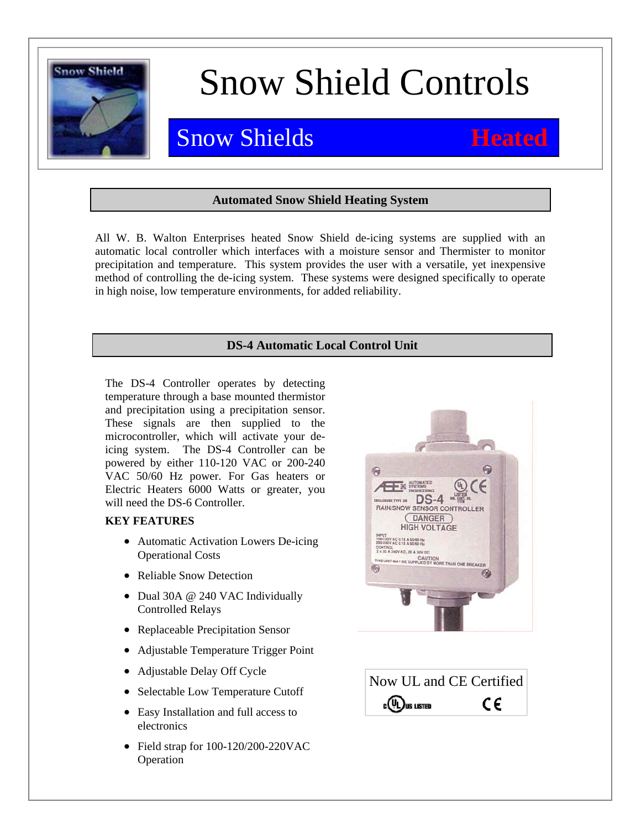

# Snow Shield Controls

## Snow Shields **Heated**

### **Automated Snow Shield Heating System**

All W. B. Walton Enterprises heated Snow Shield de-icing systems are supplied with an automatic local controller which interfaces with a moisture sensor and Thermister to monitor precipitation and temperature. This system provides the user with a versatile, yet inexpensive method of controlling the de-icing system. These systems were designed specifically to operate in high noise, low temperature environments, for added reliability.

## **DS-4 Automatic Local Control Unit**

The DS-4 Controller operates by detecting temperature through a base mounted thermistor and precipitation using a precipitation sensor. These signals are then supplied to the microcontroller, which will activate your deicing system. The DS-4 Controller can be powered by either 110-120 VAC or 200-240 VAC 50/60 Hz power. For Gas heaters or Electric Heaters 6000 Watts or greater, you will need the DS-6 Controller.

### **KEY FEATURES**

- Automatic Activation Lowers De-icing Operational Costs
- Reliable Snow Detection
- Dual 30A @ 240 VAC Individually Controlled Relays
- Replaceable Precipitation Sensor
- Adjustable Temperature Trigger Point
- Adjustable Delay Off Cycle
- Selectable Low Temperature Cutoff
- Easy Installation and full access to electronics
- Field strap for 100-120/200-220VAC Operation